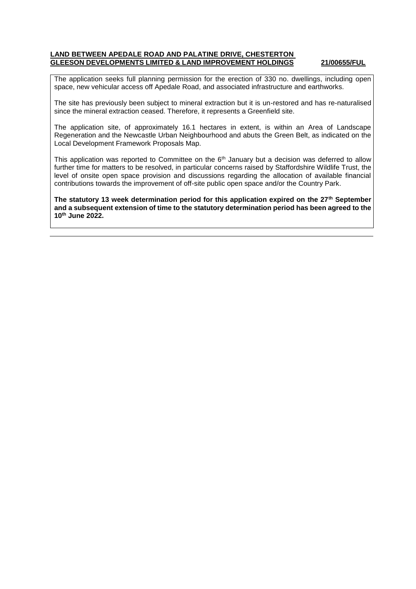## **LAND BETWEEN APEDALE ROAD AND PALATINE DRIVE, CHESTERTON GLEESON DEVELOPMENTS LIMITED & LAND IMPROVEMENT HOLDINGS 21/00655/FUL**

The application seeks full planning permission for the erection of 330 no. dwellings, including open space, new vehicular access off Apedale Road, and associated infrastructure and earthworks.

The site has previously been subject to mineral extraction but it is un-restored and has re-naturalised since the mineral extraction ceased. Therefore, it represents a Greenfield site.

The application site, of approximately 16.1 hectares in extent, is within an Area of Landscape Regeneration and the Newcastle Urban Neighbourhood and abuts the Green Belt, as indicated on the Local Development Framework Proposals Map.

This application was reported to Committee on the 6<sup>th</sup> January but a decision was deferred to allow further time for matters to be resolved, in particular concerns raised by Staffordshire Wildlife Trust, the level of onsite open space provision and discussions regarding the allocation of available financial contributions towards the improvement of off-site public open space and/or the Country Park.

**The statutory 13 week determination period for this application expired on the 27th September and a subsequent extension of time to the statutory determination period has been agreed to the 10th June 2022.**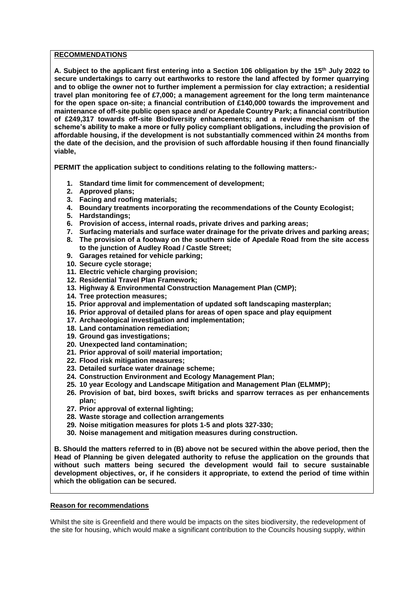### **RECOMMENDATIONS**

**A. Subject to the applicant first entering into a Section 106 obligation by the 15th July 2022 to secure undertakings to carry out earthworks to restore the land affected by former quarrying and to oblige the owner not to further implement a permission for clay extraction; a residential travel plan monitoring fee of £7,000; a management agreement for the long term maintenance for the open space on-site; a financial contribution of £140,000 towards the improvement and maintenance of off-site public open space and/ or Apedale Country Park; a financial contribution of £249,317 towards off-site Biodiversity enhancements; and a review mechanism of the scheme's ability to make a more or fully policy compliant obligations, including the provision of affordable housing, if the development is not substantially commenced within 24 months from the date of the decision, and the provision of such affordable housing if then found financially viable,**

**PERMIT the application subject to conditions relating to the following matters:-**

- **1. Standard time limit for commencement of development;**
- **2. Approved plans;**
- **3. Facing and roofing materials;**
- **4. Boundary treatments incorporating the recommendations of the County Ecologist;**
- **5. Hardstandings;**
- **6. Provision of access, internal roads, private drives and parking areas;**
- **7. Surfacing materials and surface water drainage for the private drives and parking areas; 8. The provision of a footway on the southern side of Apedale Road from the site access to the junction of Audley Road / Castle Street;**
- **9. Garages retained for vehicle parking;**
- **10. Secure cycle storage;**
- **11. Electric vehicle charging provision;**
- **12. Residential Travel Plan Framework;**
- **13. Highway & Environmental Construction Management Plan (CMP);**
- **14. Tree protection measures;**
- **15. Prior approval and implementation of updated soft landscaping masterplan;**
- **16. Prior approval of detailed plans for areas of open space and play equipment**
- **17. Archaeological investigation and implementation;**
- **18. Land contamination remediation;**
- **19. Ground gas investigations;**
- **20. Unexpected land contamination;**
- **21. Prior approval of soil/ material importation;**
- **22. Flood risk mitigation measures;**
- **23. Detailed surface water drainage scheme;**
- **24. Construction Environment and Ecology Management Plan;**
- **25. 10 year Ecology and Landscape Mitigation and Management Plan (ELMMP);**
- **26. Provision of bat, bird boxes, swift bricks and sparrow terraces as per enhancements plan;**
- **27. Prior approval of external lighting;**
- **28. Waste storage and collection arrangements**
- **29. Noise mitigation measures for plots 1-5 and plots 327-330;**
- **30. Noise management and mitigation measures during construction.**

**B. Should the matters referred to in (B) above not be secured within the above period, then the Head of Planning be given delegated authority to refuse the application on the grounds that without such matters being secured the development would fail to secure sustainable development objectives, or, if he considers it appropriate, to extend the period of time within which the obligation can be secured.** 

## **Reason for recommendations**

Whilst the site is Greenfield and there would be impacts on the sites biodiversity, the redevelopment of the site for housing, which would make a significant contribution to the Councils housing supply, within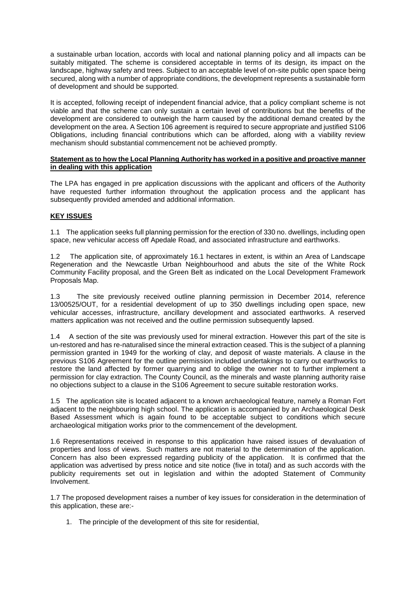a sustainable urban location, accords with local and national planning policy and all impacts can be suitably mitigated. The scheme is considered acceptable in terms of its design, its impact on the landscape, highway safety and trees. Subject to an acceptable level of on-site public open space being secured, along with a number of appropriate conditions, the development represents a sustainable form of development and should be supported.

It is accepted, following receipt of independent financial advice, that a policy compliant scheme is not viable and that the scheme can only sustain a certain level of contributions but the benefits of the development are considered to outweigh the harm caused by the additional demand created by the development on the area. A Section 106 agreement is required to secure appropriate and justified S106 Obligations, including financial contributions which can be afforded, along with a viability review mechanism should substantial commencement not be achieved promptly.

### **Statement as to how the Local Planning Authority has worked in a positive and proactive manner in dealing with this application**

The LPA has engaged in pre application discussions with the applicant and officers of the Authority have requested further information throughout the application process and the applicant has subsequently provided amended and additional information.

# **KEY ISSUES**

1.1 The application seeks full planning permission for the erection of 330 no. dwellings, including open space, new vehicular access off Apedale Road, and associated infrastructure and earthworks.

1.2 The application site, of approximately 16.1 hectares in extent, is within an Area of Landscape Regeneration and the Newcastle Urban Neighbourhood and abuts the site of the White Rock Community Facility proposal, and the Green Belt as indicated on the Local Development Framework Proposals Map.

1.3 The site previously received outline planning permission in December 2014, reference 13/00525/OUT, for a residential development of up to 350 dwellings including open space, new vehicular accesses, infrastructure, ancillary development and associated earthworks. A reserved matters application was not received and the outline permission subsequently lapsed.

1.4 A section of the site was previously used for mineral extraction. However this part of the site is un-restored and has re-naturalised since the mineral extraction ceased. This is the subject of a planning permission granted in 1949 for the working of clay, and deposit of waste materials. A clause in the previous S106 Agreement for the outline permission included undertakings to carry out earthworks to restore the land affected by former quarrying and to oblige the owner not to further implement a permission for clay extraction. The County Council, as the minerals and waste planning authority raise no objections subject to a clause in the S106 Agreement to secure suitable restoration works.

1.5 The application site is located adjacent to a known archaeological feature, namely a Roman Fort adjacent to the neighbouring high school. The application is accompanied by an Archaeological Desk Based Assessment which is again found to be acceptable subject to conditions which secure archaeological mitigation works prior to the commencement of the development.

1.6 Representations received in response to this application have raised issues of devaluation of properties and loss of views. Such matters are not material to the determination of the application. Concern has also been expressed regarding publicity of the application. It is confirmed that the application was advertised by press notice and site notice (five in total) and as such accords with the publicity requirements set out in legislation and within the adopted Statement of Community Involvement.

1.7 The proposed development raises a number of key issues for consideration in the determination of this application, these are:-

1. The principle of the development of this site for residential,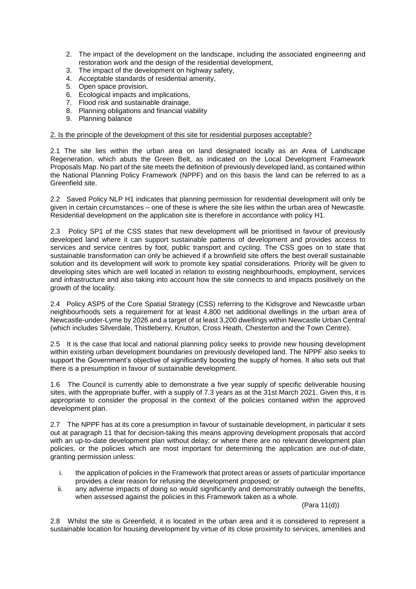- 2. The impact of the development on the landscape, including the associated engineering and restoration work and the design of the residential development,
- 3. The impact of the development on highway safety,
- 4. Acceptable standards of residential amenity,
- 5. Open space provision,
- 6. Ecological impacts and implications,
- 7. Flood risk and sustainable drainage,
- 8. Planning obligations and financial viability
- 9. Planning balance

#### 2. Is the principle of the development of this site for residential purposes acceptable?

2.1 The site lies within the urban area on land designated locally as an Area of Landscape Regeneration, which abuts the Green Belt, as indicated on the Local Development Framework Proposals Map. No part of the site meets the definition of previously developed land, as contained within the National Planning Policy Framework (NPPF) and on this basis the land can be referred to as a Greenfield site.

2.2 Saved Policy NLP H1 indicates that planning permission for residential development will only be given in certain circumstances – one of these is where the site lies within the urban area of Newcastle. Residential development on the application site is therefore in accordance with policy H1.

2.3 Policy SP1 of the CSS states that new development will be prioritised in favour of previously developed land where it can support sustainable patterns of development and provides access to services and service centres by foot, public transport and cycling. The CSS goes on to state that sustainable transformation can only be achieved if a brownfield site offers the best overall sustainable solution and its development will work to promote key spatial considerations. Priority will be given to developing sites which are well located in relation to existing neighbourhoods, employment, services and infrastructure and also taking into account how the site connects to and impacts positively on the growth of the locality.

2.4 Policy ASP5 of the Core Spatial Strategy (CSS) referring to the Kidsgrove and Newcastle urban neighbourhoods sets a requirement for at least 4,800 net additional dwellings in the urban area of Newcastle-under-Lyme by 2026 and a target of at least 3,200 dwellings within Newcastle Urban Central (which includes Silverdale, Thistleberry, Knutton, Cross Heath, Chesterton and the Town Centre).

2.5 It is the case that local and national planning policy seeks to provide new housing development within existing urban development boundaries on previously developed land. The NPPF also seeks to support the Government's objective of significantly boosting the supply of homes. It also sets out that there is a presumption in favour of sustainable development.

1.6 The Council is currently able to demonstrate a five year supply of specific deliverable housing sites, with the appropriate buffer, with a supply of 7.3 years as at the 31st March 2021. Given this, it is appropriate to consider the proposal in the context of the policies contained within the approved development plan.

2.7 The NPPF has at its core a presumption in favour of sustainable development, in particular it sets out at paragraph 11 that for decision-taking this means approving development proposals that accord with an up-to-date development plan without delay; or where there are no relevant development plan policies, or the policies which are most important for determining the application are out-of-date, granting permission unless:

- i. the application of policies in the Framework that protect areas or assets of particular importance provides a clear reason for refusing the development proposed; or
- ii. any adverse impacts of doing so would significantly and demonstrably outweigh the benefits, when assessed against the policies in this Framework taken as a whole.

(Para 11(d))

2.8 Whilst the site is Greenfield, it is located in the urban area and it is considered to represent a sustainable location for housing development by virtue of its close proximity to services, amenities and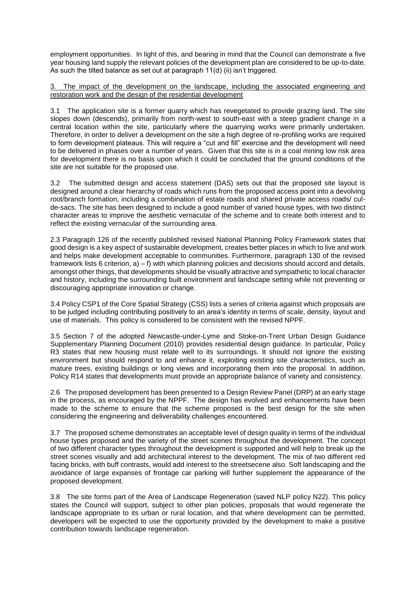employment opportunities. In light of this, and bearing in mind that the Council can demonstrate a five year housing land supply the relevant policies of the development plan are considered to be up-to-date. As such the tilted balance as set out at paragraph 11(d) (ii) isn't triggered.

3. The impact of the development on the landscape, including the associated engineering and restoration work and the design of the residential development

3.1 The application site is a former quarry which has revegetated to provide grazing land. The site slopes down (descends), primarily from north-west to south-east with a steep gradient change in a central location within the site, particularly where the quarrying works were primarily undertaken. Therefore, in order to deliver a development on the site a high degree of re-profiling works are required to form development plateaus. This will require a "cut and fill" exercise and the development will need to be delivered in phases over a number of years. Given that this site is in a coal mining low risk area for development there is no basis upon which it could be concluded that the ground conditions of the site are not suitable for the proposed use.

3.2 The submitted design and access statement (DAS) sets out that the proposed site layout is designed around a clear hierarchy of roads which runs from the proposed access point into a devolving root/branch formation, including a combination of estate roads and shared private access roads/ culde-sacs. The site has been designed to include a good number of varied house types, with two distinct character areas to improve the aesthetic vernacular of the scheme and to create both interest and to reflect the existing vernacular of the surrounding area.

2.3 Paragraph 126 of the recently published revised National Planning Policy Framework states that good design is a key aspect of sustainable development, creates better places in which to live and work and helps make development acceptable to communities. Furthermore, paragraph 130 of the revised framework lists 6 criterion, a) – f) with which planning policies and decisions should accord and details, amongst other things, that developments should be visually attractive and sympathetic to local character and history, including the surrounding built environment and landscape setting while not preventing or discouraging appropriate innovation or change.

3.4 Policy CSP1 of the Core Spatial Strategy (CSS) lists a series of criteria against which proposals are to be judged including contributing positively to an area's identity in terms of scale, density, layout and use of materials. This policy is considered to be consistent with the revised NPPF.

3.5 Section 7 of the adopted Newcastle-under-Lyme and Stoke-on-Trent Urban Design Guidance Supplementary Planning Document (2010) provides residential design guidance. In particular, Policy R3 states that new housing must relate well to its surroundings. It should not ignore the existing environment but should respond to and enhance it, exploiting existing site characteristics, such as mature trees, existing buildings or long views and incorporating them into the proposal. In addition, Policy R14 states that developments must provide an appropriate balance of variety and consistency.

2.6 The proposed development has been presented to a Design Review Panel (DRP) at an early stage in the process, as encouraged by the NPPF. The design has evolved and enhancements have been made to the scheme to ensure that the scheme proposed is the best design for the site when considering the engineering and deliverability challenges encountered.

3.7 The proposed scheme demonstrates an acceptable level of design quality in terms of the individual house types proposed and the variety of the street scenes throughout the development. The concept of two different character types throughout the development is supported and will help to break up the street scenes visually and add architectural interest to the development. The mix of two different red facing bricks, with buff contrasts, would add interest to the streetsecene also. Soft landscaping and the avoidance of large expanses of frontage car parking will further supplement the appearance of the proposed development.

3.8 The site forms part of the Area of Landscape Regeneration (saved NLP policy N22). This policy states the Council will support, subject to other plan policies, proposals that would regenerate the landscape appropriate to its urban or rural location, and that where development can be permitted, developers will be expected to use the opportunity provided by the development to make a positive contribution towards landscape regeneration.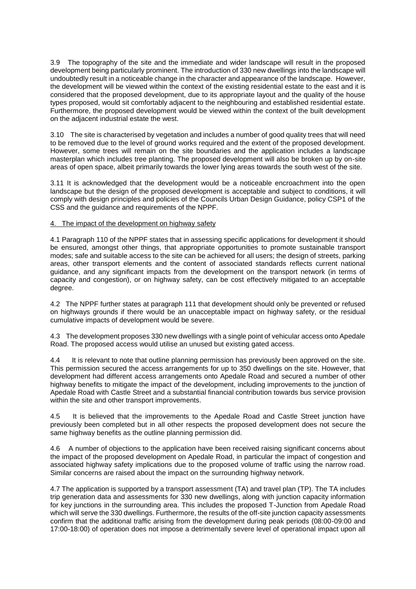3.9 The topography of the site and the immediate and wider landscape will result in the proposed development being particularly prominent. The introduction of 330 new dwellings into the landscape will undoubtedly result in a noticeable change in the character and appearance of the landscape. However, the development will be viewed within the context of the existing residential estate to the east and it is considered that the proposed development, due to its appropriate layout and the quality of the house types proposed, would sit comfortably adjacent to the neighbouring and established residential estate. Furthermore, the proposed development would be viewed within the context of the built development on the adjacent industrial estate the west.

3.10 The site is characterised by vegetation and includes a number of good quality trees that will need to be removed due to the level of ground works required and the extent of the proposed development. However, some trees will remain on the site boundaries and the application includes a landscape masterplan which includes tree planting. The proposed development will also be broken up by on-site areas of open space, albeit primarily towards the lower lying areas towards the south west of the site.

3.11 It is acknowledged that the development would be a noticeable encroachment into the open landscape but the design of the proposed development is acceptable and subject to conditions, it will comply with design principles and policies of the Councils Urban Design Guidance, policy CSP1 of the CSS and the guidance and requirements of the NPPF.

### 4. The impact of the development on highway safety

4.1 Paragraph 110 of the NPPF states that in assessing specific applications for development it should be ensured, amongst other things, that appropriate opportunities to promote sustainable transport modes; safe and suitable access to the site can be achieved for all users; the design of streets, parking areas, other transport elements and the content of associated standards reflects current national guidance, and any significant impacts from the development on the transport network (in terms of capacity and congestion), or on highway safety, can be cost effectively mitigated to an acceptable degree.

4.2 The NPPF further states at paragraph 111 that development should only be prevented or refused on highways grounds if there would be an unacceptable impact on highway safety, or the residual cumulative impacts of development would be severe.

4.3 The development proposes 330 new dwellings with a single point of vehicular access onto Apedale Road. The proposed access would utilise an unused but existing gated access.

4.4 It is relevant to note that outline planning permission has previously been approved on the site. This permission secured the access arrangements for up to 350 dwellings on the site. However, that development had different access arrangements onto Apedale Road and secured a number of other highway benefits to mitigate the impact of the development, including improvements to the junction of Apedale Road with Castle Street and a substantial financial contribution towards bus service provision within the site and other transport improvements.

4.5 It is believed that the improvements to the Apedale Road and Castle Street junction have previously been completed but in all other respects the proposed development does not secure the same highway benefits as the outline planning permission did.

4.6 A number of objections to the application have been received raising significant concerns about the impact of the proposed development on Apedale Road, in particular the impact of congestion and associated highway safety implications due to the proposed volume of traffic using the narrow road. Similar concerns are raised about the impact on the surrounding highway network.

4.7 The application is supported by a transport assessment (TA) and travel plan (TP). The TA includes trip generation data and assessments for 330 new dwellings, along with junction capacity information for key junctions in the surrounding area. This includes the proposed T-Junction from Apedale Road which will serve the 330 dwellings. Furthermore, the results of the off-site junction capacity assessments confirm that the additional traffic arising from the development during peak periods (08:00-09:00 and 17:00-18:00) of operation does not impose a detrimentally severe level of operational impact upon all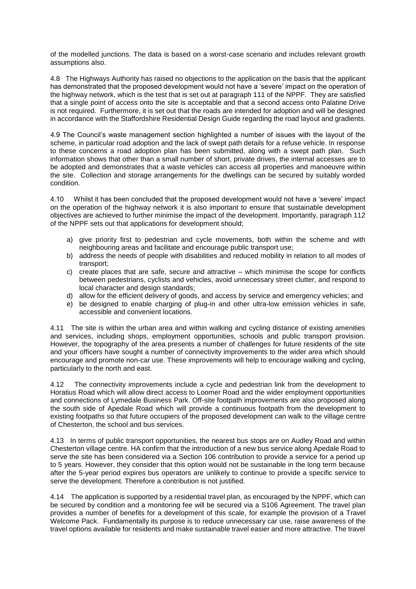of the modelled junctions. The data is based on a worst-case scenario and includes relevant growth assumptions also.

4.8 The Highways Authority has raised no objections to the application on the basis that the applicant has demonstrated that the proposed development would not have a 'severe' impact on the operation of the highway network, which is the test that is set out at paragraph 111 of the NPPF. They are satisfied that a single point of access onto the site is acceptable and that a second access onto Palatine Drive is not required. Furthermore, it is set out that the roads are intended for adoption and will be designed in accordance with the Staffordshire Residential Design Guide regarding the road layout and gradients.

4.9 The Council's waste management section highlighted a number of issues with the layout of the scheme, in particular road adoption and the lack of swept path details for a refuse vehicle. In response to these concerns a road adoption plan has been submitted, along with a swept path plan. Such information shows that other than a small number of short, private drives, the internal accesses are to be adopted and demonstrates that a waste vehicles can access all properties and manoeuvre within the site. Collection and storage arrangements for the dwellings can be secured by suitably worded condition.

4.10 Whilst it has been concluded that the proposed development would not have a 'severe' impact on the operation of the highway network it is also important to ensure that sustainable development objectives are achieved to further minimise the impact of the development. Importantly, paragraph 112 of the NPPF sets out that applications for development should;

- a) give priority first to pedestrian and cycle movements, both within the scheme and with neighbouring areas and facilitate and encourage public transport use;
- b) address the needs of people with disabilities and reduced mobility in relation to all modes of transport;
- c) create places that are safe, secure and attractive which minimise the scope for conflicts between pedestrians, cyclists and vehicles, avoid unnecessary street clutter, and respond to local character and design standards;
- d) allow for the efficient delivery of goods, and access by service and emergency vehicles; and
- e) be designed to enable charging of plug-in and other ultra-low emission vehicles in safe, accessible and convenient locations.

4.11 The site is within the urban area and within walking and cycling distance of existing amenities and services, including shops, employment opportunities, schools and public transport provision. However, the topography of the area presents a number of challenges for future residents of the site and your officers have sought a number of connectivity improvements to the wider area which should encourage and promote non-car use. These improvements will help to encourage walking and cycling, particularly to the north and east.

4.12 The connectivity improvements include a cycle and pedestrian link from the development to Horatius Road which will allow direct access to Loomer Road and the wider employment opportunities and connections of Lymedale Business Park. Off-site footpath improvements are also proposed along the south side of Apedale Road which will provide a continuous footpath from the development to existing footpaths so that future occupiers of the proposed development can walk to the village centre of Chesterton, the school and bus services.

4.13 In terms of public transport opportunities, the nearest bus stops are on Audley Road and within Chesterton village centre. HA confirm that the introduction of a new bus service along Apedale Road to serve the site has been considered via a Section 106 contribution to provide a service for a period up to 5 years. However, they consider that this option would not be sustainable in the long term because after the 5-year period expires bus operators are unlikely to continue to provide a specific service to serve the development. Therefore a contribution is not justified.

4.14 The application is supported by a residential travel plan, as encouraged by the NPPF, which can be secured by condition and a monitoring fee will be secured via a S106 Agreement. The travel plan provides a number of benefits for a development of this scale, for example the provision of a Travel Welcome Pack. Fundamentally its purpose is to reduce unnecessary car use, raise awareness of the travel options available for residents and make sustainable travel easier and more attractive. The travel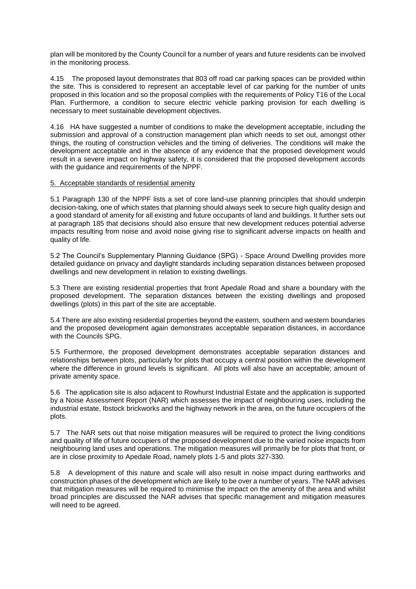plan will be monitored by the County Council for a number of years and future residents can be involved in the monitoring process.

4.15 The proposed layout demonstrates that 803 off road car parking spaces can be provided within the site. This is considered to represent an acceptable level of car parking for the number of units proposed in this location and so the proposal complies with the requirements of Policy T16 of the Local Plan. Furthermore, a condition to secure electric vehicle parking provision for each dwelling is necessary to meet sustainable development objectives.

4.16 HA have suggested a number of conditions to make the development acceptable, including the submission and approval of a construction management plan which needs to set out, amongst other things, the routing of construction vehicles and the timing of deliveries. The conditions will make the development acceptable and in the absence of any evidence that the proposed development would result in a severe impact on highway safety, it is considered that the proposed development accords with the guidance and requirements of the NPPF.

### 5. Acceptable standards of residential amenity

5.1 Paragraph 130 of the NPPF lists a set of core land-use planning principles that should underpin decision-taking, one of which states that planning should always seek to secure high quality design and a good standard of amenity for all existing and future occupants of land and buildings. It further sets out at paragraph 185 that decisions should also ensure that new development reduces potential adverse impacts resulting from noise and avoid noise giving rise to significant adverse impacts on health and quality of life.

5.2 The Council's Supplementary Planning Guidance (SPG) - Space Around Dwelling provides more detailed guidance on privacy and daylight standards including separation distances between proposed dwellings and new development in relation to existing dwellings.

5.3 There are existing residential properties that front Apedale Road and share a boundary with the proposed development. The separation distances between the existing dwellings and proposed dwellings (plots) in this part of the site are acceptable.

5.4 There are also existing residential properties beyond the eastern, southern and western boundaries and the proposed development again demonstrates acceptable separation distances, in accordance with the Councils SPG.

5.5 Furthermore, the proposed development demonstrates acceptable separation distances and relationships between plots, particularly for plots that occupy a central position within the development where the difference in ground levels is significant. All plots will also have an acceptable; amount of private amenity space.

5.6 The application site is also adjacent to Rowhurst Industrial Estate and the application is supported by a Noise Assessment Report (NAR) which assesses the impact of neighbouring uses, including the industrial estate, Ibstock brickworks and the highway network in the area, on the future occupiers of the plots.

5.7 The NAR sets out that noise mitigation measures will be required to protect the living conditions and quality of life of future occupiers of the proposed development due to the varied noise impacts from neighbouring land uses and operations. The mitigation measures will primarily be for plots that front, or are in close proximity to Apedale Road, namely plots 1-5 and plots 327-330.

5.8 A development of this nature and scale will also result in noise impact during earthworks and construction phases of the development which are likely to be over a number of years. The NAR advises that mitigation measures will be required to minimise the impact on the amenity of the area and whilst broad principles are discussed the NAR advises that specific management and mitigation measures will need to be agreed.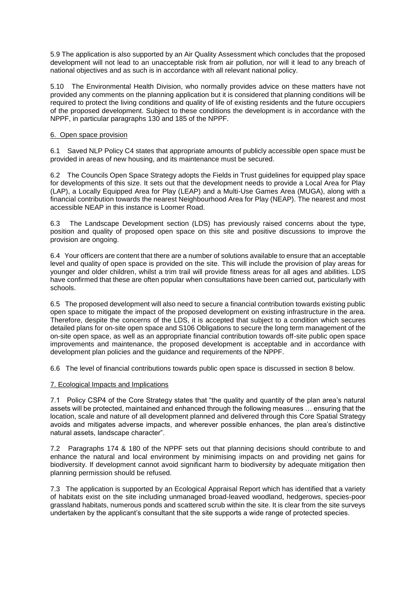5.9 The application is also supported by an Air Quality Assessment which concludes that the proposed development will not lead to an unacceptable risk from air pollution, nor will it lead to any breach of national objectives and as such is in accordance with all relevant national policy.

5.10 The Environmental Health Division, who normally provides advice on these matters have not provided any comments on the planning application but it is considered that planning conditions will be required to protect the living conditions and quality of life of existing residents and the future occupiers of the proposed development. Subject to these conditions the development is in accordance with the NPPF, in particular paragraphs 130 and 185 of the NPPF.

### 6. Open space provision

6.1 Saved NLP Policy C4 states that appropriate amounts of publicly accessible open space must be provided in areas of new housing, and its maintenance must be secured.

6.2 The Councils Open Space Strategy adopts the Fields in Trust guidelines for equipped play space for developments of this size. It sets out that the development needs to provide a Local Area for Play (LAP), a Locally Equipped Area for Play (LEAP) and a Multi-Use Games Area (MUGA), along with a financial contribution towards the nearest Neighbourhood Area for Play (NEAP). The nearest and most accessible NEAP in this instance is Loomer Road.

6.3 The Landscape Development section (LDS) has previously raised concerns about the type, position and quality of proposed open space on this site and positive discussions to improve the provision are ongoing.

6.4 Your officers are content that there are a number of solutions available to ensure that an acceptable level and quality of open space is provided on the site. This will include the provision of play areas for younger and older children, whilst a trim trail will provide fitness areas for all ages and abilities. LDS have confirmed that these are often popular when consultations have been carried out, particularly with schools.

6.5 The proposed development will also need to secure a financial contribution towards existing public open space to mitigate the impact of the proposed development on existing infrastructure in the area. Therefore, despite the concerns of the LDS, it is accepted that subject to a condition which secures detailed plans for on-site open space and S106 Obligations to secure the long term management of the on-site open space, as well as an appropriate financial contribution towards off-site public open space improvements and maintenance, the proposed development is acceptable and in accordance with development plan policies and the guidance and requirements of the NPPF.

6.6 The level of financial contributions towards public open space is discussed in section 8 below.

## 7. Ecological Impacts and Implications

7.1 Policy CSP4 of the Core Strategy states that "the quality and quantity of the plan area's natural assets will be protected, maintained and enhanced through the following measures … ensuring that the location, scale and nature of all development planned and delivered through this Core Spatial Strategy avoids and mitigates adverse impacts, and wherever possible enhances, the plan area's distinctive natural assets, landscape character".

7.2 Paragraphs 174 & 180 of the NPPF sets out that planning decisions should contribute to and enhance the natural and local environment by minimising impacts on and providing net gains for biodiversity. If development cannot avoid significant harm to biodiversity by adequate mitigation then planning permission should be refused.

7.3 The application is supported by an Ecological Appraisal Report which has identified that a variety of habitats exist on the site including unmanaged broad-leaved woodland, hedgerows, species-poor grassland habitats, numerous ponds and scattered scrub within the site. It is clear from the site surveys undertaken by the applicant's consultant that the site supports a wide range of protected species.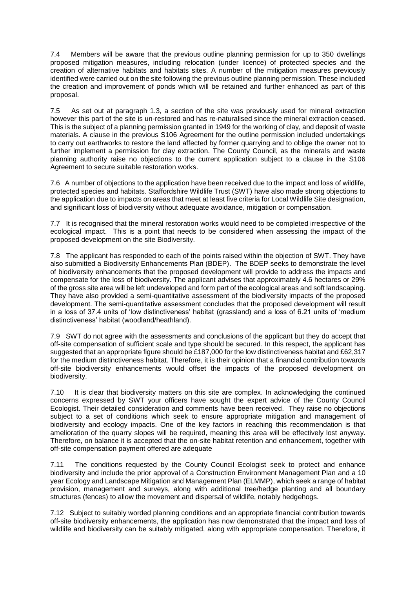7.4 Members will be aware that the previous outline planning permission for up to 350 dwellings proposed mitigation measures, including relocation (under licence) of protected species and the creation of alternative habitats and habitats sites. A number of the mitigation measures previously identified were carried out on the site following the previous outline planning permission. These included the creation and improvement of ponds which will be retained and further enhanced as part of this proposal.

7.5 As set out at paragraph 1.3, a section of the site was previously used for mineral extraction however this part of the site is un-restored and has re-naturalised since the mineral extraction ceased. This is the subject of a planning permission granted in 1949 for the working of clay, and deposit of waste materials. A clause in the previous S106 Agreement for the outline permission included undertakings to carry out earthworks to restore the land affected by former quarrying and to oblige the owner not to further implement a permission for clay extraction. The County Council, as the minerals and waste planning authority raise no objections to the current application subject to a clause in the S106 Agreement to secure suitable restoration works.

7.6 A number of objections to the application have been received due to the impact and loss of wildlife, protected species and habitats. Staffordshire Wildlife Trust (SWT) have also made strong objections to the application due to impacts on areas that meet at least five criteria for Local Wildlife Site designation, and significant loss of biodiversity without adequate avoidance, mitigation or compensation.

7.7 It is recognised that the mineral restoration works would need to be completed irrespective of the ecological impact. This is a point that needs to be considered when assessing the impact of the proposed development on the site Biodiversity.

7.8 The applicant has responded to each of the points raised within the objection of SWT. They have also submitted a Biodiversity Enhancements Plan (BDEP). The BDEP seeks to demonstrate the level of biodiversity enhancements that the proposed development will provide to address the impacts and compensate for the loss of biodiversity. The applicant advises that approximately 4.6 hectares or 29% of the gross site area will be left undeveloped and form part of the ecological areas and soft landscaping. They have also provided a semi-quantitative assessment of the biodiversity impacts of the proposed development. The semi-quantitative assessment concludes that the proposed development will result in a loss of 37.4 units of 'low distinctiveness' habitat (grassland) and a loss of 6.21 units of 'medium distinctiveness' habitat (woodland/heathland).

7.9 SWT do not agree with the assessments and conclusions of the applicant but they do accept that off-site compensation of sufficient scale and type should be secured. In this respect, the applicant has suggested that an appropriate figure should be £187,000 for the low distinctiveness habitat and £62,317 for the medium distinctiveness habitat. Therefore, it is their opinion that a financial contribution towards off-site biodiversity enhancements would offset the impacts of the proposed development on biodiversity.

7.10 It is clear that biodiversity matters on this site are complex. In acknowledging the continued concerns expressed by SWT your officers have sought the expert advice of the County Council Ecologist. Their detailed consideration and comments have been received. They raise no objections subject to a set of conditions which seek to ensure appropriate mitigation and management of biodiversity and ecology impacts. One of the key factors in reaching this recommendation is that amelioration of the quarry slopes will be required, meaning this area will be effectively lost anyway. Therefore, on balance it is accepted that the on-site habitat retention and enhancement, together with off-site compensation payment offered are adequate

7.11 The conditions requested by the County Council Ecologist seek to protect and enhance biodiversity and include the prior approval of a Construction Environment Management Plan and a 10 year Ecology and Landscape Mitigation and Management Plan (ELMMP), which seek a range of habitat provision, management and surveys, along with additional tree/hedge planting and all boundary structures (fences) to allow the movement and dispersal of wildlife, notably hedgehogs.

7.12 Subject to suitably worded planning conditions and an appropriate financial contribution towards off-site biodiversity enhancements, the application has now demonstrated that the impact and loss of wildlife and biodiversity can be suitably mitigated, along with appropriate compensation. Therefore, it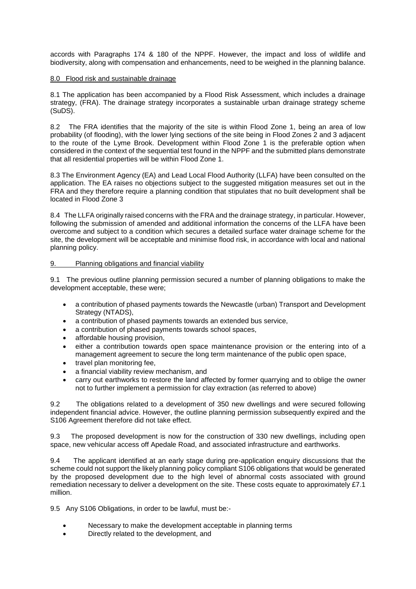accords with Paragraphs 174 & 180 of the NPPF. However, the impact and loss of wildlife and biodiversity, along with compensation and enhancements, need to be weighed in the planning balance.

### 8.0 Flood risk and sustainable drainage

8.1 The application has been accompanied by a Flood Risk Assessment, which includes a drainage strategy, (FRA). The drainage strategy incorporates a sustainable urban drainage strategy scheme (SuDS).

8.2 The FRA identifies that the majority of the site is within Flood Zone 1, being an area of low probability (of flooding), with the lower lying sections of the site being in Flood Zones 2 and 3 adjacent to the route of the Lyme Brook. Development within Flood Zone 1 is the preferable option when considered in the context of the sequential test found in the NPPF and the submitted plans demonstrate that all residential properties will be within Flood Zone 1.

8.3 The Environment Agency (EA) and Lead Local Flood Authority (LLFA) have been consulted on the application. The EA raises no objections subject to the suggested mitigation measures set out in the FRA and they therefore require a planning condition that stipulates that no built development shall be located in Flood Zone 3

8.4 The LLFA originally raised concerns with the FRA and the drainage strategy, in particular. However, following the submission of amended and additional information the concerns of the LLFA have been overcome and subject to a condition which secures a detailed surface water drainage scheme for the site, the development will be acceptable and minimise flood risk, in accordance with local and national planning policy.

# 9. Planning obligations and financial viability

9.1 The previous outline planning permission secured a number of planning obligations to make the development acceptable, these were;

- a contribution of phased payments towards the Newcastle (urban) Transport and Development Strategy (NTADS),
- a contribution of phased payments towards an extended bus service,
- a contribution of phased payments towards school spaces,
- affordable housing provision,
- either a contribution towards open space maintenance provision or the entering into of a management agreement to secure the long term maintenance of the public open space,
- travel plan monitoring fee,
- a financial viability review mechanism, and
- carry out earthworks to restore the land affected by former quarrying and to oblige the owner not to further implement a permission for clay extraction (as referred to above)

9.2 The obligations related to a development of 350 new dwellings and were secured following independent financial advice. However, the outline planning permission subsequently expired and the S106 Agreement therefore did not take effect.

9.3 The proposed development is now for the construction of 330 new dwellings, including open space, new vehicular access off Apedale Road, and associated infrastructure and earthworks.

9.4 The applicant identified at an early stage during pre-application enquiry discussions that the scheme could not support the likely planning policy compliant S106 obligations that would be generated by the proposed development due to the high level of abnormal costs associated with ground remediation necessary to deliver a development on the site. These costs equate to approximately £7.1 million.

9.5 Any S106 Obligations, in order to be lawful, must be:-

- Necessary to make the development acceptable in planning terms
- Directly related to the development, and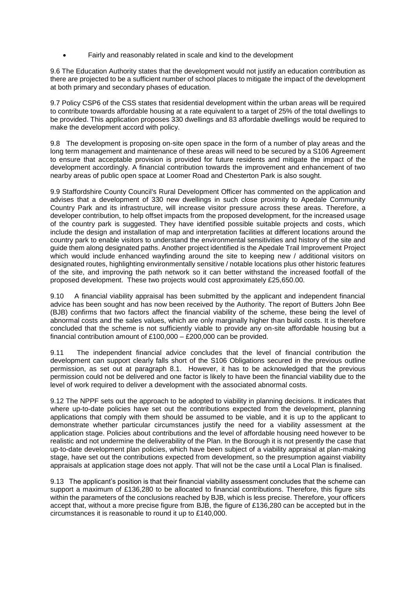Fairly and reasonably related in scale and kind to the development

9.6 The Education Authority states that the development would not justify an education contribution as there are projected to be a sufficient number of school places to mitigate the impact of the development at both primary and secondary phases of education.

9.7 Policy CSP6 of the CSS states that residential development within the urban areas will be required to contribute towards affordable housing at a rate equivalent to a target of 25% of the total dwellings to be provided. This application proposes 330 dwellings and 83 affordable dwellings would be required to make the development accord with policy.

9.8 The development is proposing on-site open space in the form of a number of play areas and the long term management and maintenance of these areas will need to be secured by a S106 Agreement to ensure that acceptable provision is provided for future residents and mitigate the impact of the development accordingly. A financial contribution towards the improvement and enhancement of two nearby areas of public open space at Loomer Road and Chesterton Park is also sought.

9.9 Staffordshire County Council's Rural Development Officer has commented on the application and advises that a development of 330 new dwellings in such close proximity to Apedale Community Country Park and its infrastructure, will increase visitor pressure across these areas. Therefore, a developer contribution, to help offset impacts from the proposed development, for the increased usage of the country park is suggested. They have identified possible suitable projects and costs, which include the design and installation of map and interpretation facilities at different locations around the country park to enable visitors to understand the environmental sensitivities and history of the site and guide them along designated paths. Another project identified is the Apedale Trail Improvement Project which would include enhanced wayfinding around the site to keeping new / additional visitors on designated routes, highlighting environmentally sensitive / notable locations plus other historic features of the site, and improving the path network so it can better withstand the increased footfall of the proposed development. These two projects would cost approximately £25,650.00.

9.10 A financial viability appraisal has been submitted by the applicant and independent financial advice has been sought and has now been received by the Authority. The report of Butters John Bee (BJB) confirms that two factors affect the financial viability of the scheme, these being the level of abnormal costs and the sales values, which are only marginally higher than build costs. It is therefore concluded that the scheme is not sufficiently viable to provide any on-site affordable housing but a financial contribution amount of £100,000 – £200,000 can be provided.

9.11 The independent financial advice concludes that the level of financial contribution the development can support clearly falls short of the S106 Obligations secured in the previous outline permission, as set out at paragraph 8.1. However, it has to be acknowledged that the previous permission could not be delivered and one factor is likely to have been the financial viability due to the level of work required to deliver a development with the associated abnormal costs.

9.12 The NPPF sets out the approach to be adopted to viability in planning decisions. It indicates that where up-to-date policies have set out the contributions expected from the development, planning applications that comply with them should be assumed to be viable, and it is up to the applicant to demonstrate whether particular circumstances justify the need for a viability assessment at the application stage. Policies about contributions and the level of affordable housing need however to be realistic and not undermine the deliverability of the Plan. In the Borough it is not presently the case that up-to-date development plan policies, which have been subject of a viability appraisal at plan-making stage, have set out the contributions expected from development, so the presumption against viability appraisals at application stage does not apply. That will not be the case until a Local Plan is finalised.

9.13 The applicant's position is that their financial viability assessment concludes that the scheme can support a maximum of £136,280 to be allocated to financial contributions. Therefore, this figure sits within the parameters of the conclusions reached by BJB, which is less precise. Therefore, your officers accept that, without a more precise figure from BJB, the figure of £136,280 can be accepted but in the circumstances it is reasonable to round it up to £140,000.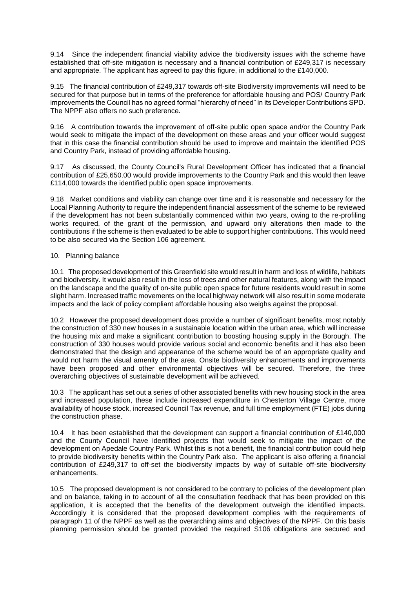9.14 Since the independent financial viability advice the biodiversity issues with the scheme have established that off-site mitigation is necessary and a financial contribution of £249,317 is necessary and appropriate. The applicant has agreed to pay this figure, in additional to the £140,000.

9.15 The financial contribution of £249,317 towards off-site Biodiversity improvements will need to be secured for that purpose but in terms of the preference for affordable housing and POS/ Country Park improvements the Council has no agreed formal "hierarchy of need" in its Developer Contributions SPD. The NPPF also offers no such preference.

9.16 A contribution towards the improvement of off-site public open space and/or the Country Park would seek to mitigate the impact of the development on these areas and your officer would suggest that in this case the financial contribution should be used to improve and maintain the identified POS and Country Park, instead of providing affordable housing.

9.17 As discussed, the County Council's Rural Development Officer has indicated that a financial contribution of £25,650.00 would provide improvements to the Country Park and this would then leave £114,000 towards the identified public open space improvements.

9.18 Market conditions and viability can change over time and it is reasonable and necessary for the Local Planning Authority to require the independent financial assessment of the scheme to be reviewed if the development has not been substantially commenced within two years, owing to the re-profiling works required, of the grant of the permission, and upward only alterations then made to the contributions if the scheme is then evaluated to be able to support higher contributions. This would need to be also secured via the Section 106 agreement.

### 10. Planning balance

10.1 The proposed development of this Greenfield site would result in harm and loss of wildlife, habitats and biodiversity. It would also result in the loss of trees and other natural features, along with the impact on the landscape and the quality of on-site public open space for future residents would result in some slight harm. Increased traffic movements on the local highway network will also result in some moderate impacts and the lack of policy compliant affordable housing also weighs against the proposal.

10.2 However the proposed development does provide a number of significant benefits, most notably the construction of 330 new houses in a sustainable location within the urban area, which will increase the housing mix and make a significant contribution to boosting housing supply in the Borough. The construction of 330 houses would provide various social and economic benefits and it has also been demonstrated that the design and appearance of the scheme would be of an appropriate quality and would not harm the visual amenity of the area. Onsite biodiversity enhancements and improvements have been proposed and other environmental objectives will be secured. Therefore, the three overarching objectives of sustainable development will be achieved.

10.3 The applicant has set out a series of other associated benefits with new housing stock in the area and increased population, these include increased expenditure in Chesterton Village Centre, more availability of house stock, increased Council Tax revenue, and full time employment (FTE) jobs during the construction phase.

10.4 It has been established that the development can support a financial contribution of £140,000 and the County Council have identified projects that would seek to mitigate the impact of the development on Apedale Country Park. Whilst this is not a benefit, the financial contribution could help to provide biodiversity benefits within the Country Park also. The applicant is also offering a financial contribution of £249,317 to off-set the biodiversity impacts by way of suitable off-site biodiversity enhancements.

10.5 The proposed development is not considered to be contrary to policies of the development plan and on balance, taking in to account of all the consultation feedback that has been provided on this application, it is accepted that the benefits of the development outweigh the identified impacts. Accordingly it is considered that the proposed development complies with the requirements of paragraph 11 of the NPPF as well as the overarching aims and objectives of the NPPF. On this basis planning permission should be granted provided the required S106 obligations are secured and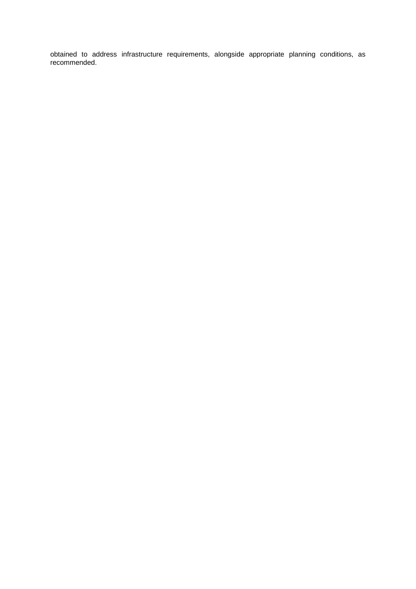obtained to address infrastructure requirements, alongside appropriate planning conditions, as recommended.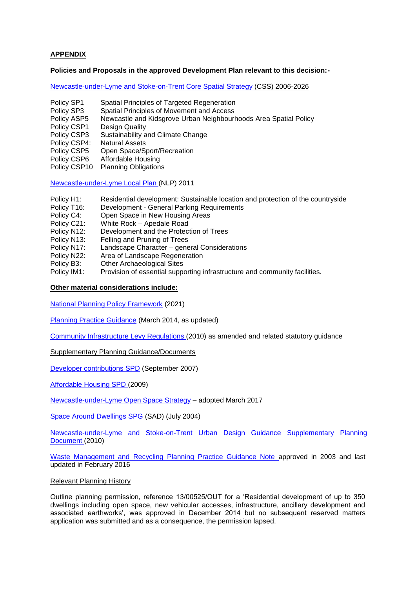# **APPENDIX**

### **Policies and Proposals in the approved Development Plan relevant to this decision:-**

[Newcastle-under-Lyme and Stoke-on-Trent Core Spatial Strategy \(](https://www.newcastle-staffs.gov.uk/sites/default/files/IMCE/Planning/Planning_Policy/SpatialStrategy/Core%20Strategy%20Final%20Version%20-%2028th%20October.pdf)CSS) 2006-2026

- Policy SP1 Spatial Principles of Targeted Regeneration<br>Policy SP3 Spatial Principles of Movement and Access
- Policy SP3 Spatial Principles of Movement and Access<br>Policy ASP5 Newcastle and Kidsgrove Urban Neighbourl
- Newcastle and Kidsgrove Urban Neighbourhoods Area Spatial Policy
- Policy CSP1 Design Quality<br>Policy CSP3 Sustainability a
- Sustainability and Climate Change
- Policy CSP4: Natural Assets
- Policy CSP5 Open Space/Sport/Recreation
- Policy CSP6 Affordable Housing
- Policy CSP10 Planning Obligations

[Newcastle-under-Lyme Local Plan \(](https://www.newcastle-staffs.gov.uk/sites/default/files/IMCE/Planning/Planning_Policy/Newcastle%20Local%20Plan%202011.pdf)NLP) 2011

- Policy H1: Residential development: Sustainable location and protection of the countryside Policy T16: Development General Parking Requirements
- Policy T16: Development General Parking Requirements<br>Policy C4: Open Space in New Housing Areas
- Open Space in New Housing Areas
- Policy C21: White Rock Apedale Road
- Policy N12: Development and the Protection of Trees
- Policy N13: Felling and Pruning of Trees
- Policy N17: Landscape Character general Considerations
- Policy N22: Area of Landscape Regeneration<br>Policy B3: Other Archaeological Sites
- Other Archaeological Sites
- Policy IM1: Provision of essential supporting infrastructure and community facilities.

**Other material considerations include:**

[National Planning Policy Framework](https://www.gov.uk/guidance/national-planning-policy-framework) (2021)

[Planning Practice Guidance](https://www.gov.uk/government/collections/planning-practice-guidance) (March 2014, as updated)

[Community Infrastructure Levy Regulations \(](http://www.legislation.gov.uk/ukdsi/2010/9780111492390/contents)2010) as amended and related statutory guidance

Supplementary Planning Guidance/Documents

[Developer contributions SPD](https://www.newcastle-staffs.gov.uk/all-services/planning/planning-policy/newcastle-under-lymes-local-development) (September 2007)

[Affordable](https://www.newcastle-staffs.gov.uk/all-services/planning/planning-policy/newcastle-under-lymes-local-development-framework/affordable) Housing SPD (2009)

[Newcastle-under-Lyme Open Space Strategy](http://moderngov.newcastle-staffs.gov.uk/documents/s22542/Newcastle-under-Lyme%20Open%20Space%20Strategy%20Final.pdf) – adopted March 2017

[Space Around Dwellings SPG](https://www.newcastle-staffs.gov.uk/sites/default/files/IMCE/Planning/Planning_Policy/NonLocal/Space%20About%20Dwellings%20SPG.pdf) (SAD) (July 2004)

[Newcastle-under-Lyme and Stoke-on-Trent Urban Design Guidance Supplementary Planning](https://www.newcastle-staffs.gov.uk/sites/default/files/IMCE/Planning/Planning_Policy/DevelopmentPlan/5217%20Stoke%20Interactive%20web%2020-12-10.pdf)  [Document \(](https://www.newcastle-staffs.gov.uk/sites/default/files/IMCE/Planning/Planning_Policy/DevelopmentPlan/5217%20Stoke%20Interactive%20web%2020-12-10.pdf)2010)

[Waste Management and Recycling Planning Practice Guidance Note a](https://www.newcastle-staffs.gov.uk/sites/default/files/IMCE/Planning/Planning_Policy/NonLocal/Microsoft%20Word%20-%20Waste%20Management%20Practice%20Planning%20Guidance%20July%202011%20update.pdf)pproved in 2003 and last updated in February 2016

Relevant Planning History

Outline planning permission, reference 13/00525/OUT for a 'Residential development of up to 350 dwellings including open space, new vehicular accesses, infrastructure, ancillary development and associated earthworks', was approved in December 2014 but no subsequent reserved matters application was submitted and as a consequence, the permission lapsed.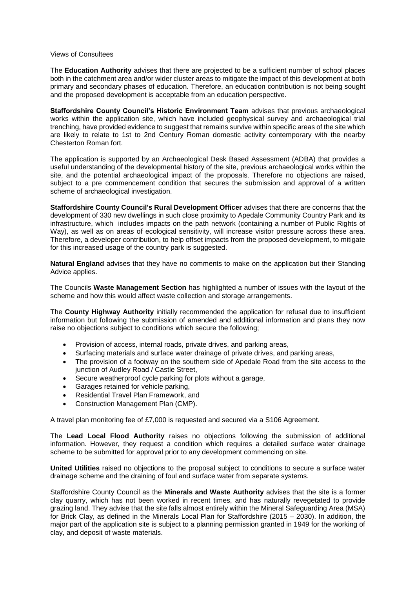#### Views of Consultees

The **Education Authority** advises that there are projected to be a sufficient number of school places both in the catchment area and/or wider cluster areas to mitigate the impact of this development at both primary and secondary phases of education. Therefore, an education contribution is not being sought and the proposed development is acceptable from an education perspective.

**Staffordshire County Council's Historic Environment Team** advises that previous archaeological works within the application site, which have included geophysical survey and archaeological trial trenching, have provided evidence to suggest that remains survive within specific areas of the site which are likely to relate to 1st to 2nd Century Roman domestic activity contemporary with the nearby Chesterton Roman fort.

The application is supported by an Archaeological Desk Based Assessment (ADBA) that provides a useful understanding of the developmental history of the site, previous archaeological works within the site, and the potential archaeological impact of the proposals. Therefore no objections are raised, subject to a pre commencement condition that secures the submission and approval of a written scheme of archaeological investigation.

**Staffordshire County Council's Rural Development Officer** advises that there are concerns that the development of 330 new dwellings in such close proximity to Apedale Community Country Park and its infrastructure, which includes impacts on the path network (containing a number of Public Rights of Way), as well as on areas of ecological sensitivity, will increase visitor pressure across these area. Therefore, a developer contribution, to help offset impacts from the proposed development, to mitigate for this increased usage of the country park is suggested.

**Natural England** advises that they have no comments to make on the application but their Standing Advice applies.

The Councils **Waste Management Section** has highlighted a number of issues with the layout of the scheme and how this would affect waste collection and storage arrangements.

The **County Highway Authority** initially recommended the application for refusal due to insufficient information but following the submission of amended and additional information and plans they now raise no objections subject to conditions which secure the following;

- Provision of access, internal roads, private drives, and parking areas,
- Surfacing materials and surface water drainage of private drives, and parking areas,
- The provision of a footway on the southern side of Apedale Road from the site access to the junction of Audley Road / Castle Street,
- Secure weatherproof cycle parking for plots without a garage,
- Garages retained for vehicle parking,
- Residential Travel Plan Framework, and
- Construction Management Plan (CMP).

A travel plan monitoring fee of £7,000 is requested and secured via a S106 Agreement.

The **Lead Local Flood Authority** raises no objections following the submission of additional information. However, they request a condition which requires a detailed surface water drainage scheme to be submitted for approval prior to any development commencing on site.

**United Utilities** raised no objections to the proposal subject to conditions to secure a surface water drainage scheme and the draining of foul and surface water from separate systems.

Staffordshire County Council as the **Minerals and Waste Authority** advises that the site is a former clay quarry, which has not been worked in recent times, and has naturally revegetated to provide grazing land. They advise that the site falls almost entirely within the Mineral Safeguarding Area (MSA) for Brick Clay, as defined in the Minerals Local Plan for Staffordshire (2015 – 2030). In addition, the major part of the application site is subject to a planning permission granted in 1949 for the working of clay, and deposit of waste materials.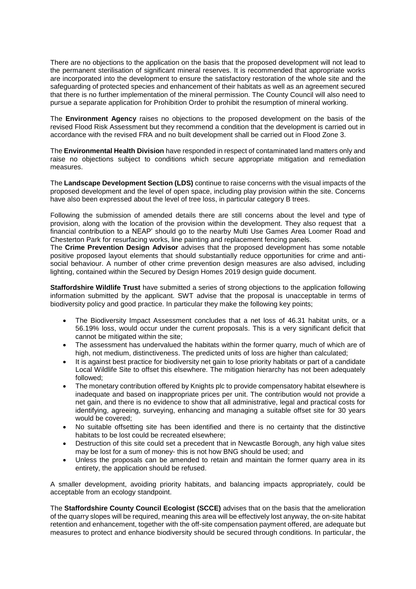There are no objections to the application on the basis that the proposed development will not lead to the permanent sterilisation of significant mineral reserves. It is recommended that appropriate works are incorporated into the development to ensure the satisfactory restoration of the whole site and the safeguarding of protected species and enhancement of their habitats as well as an agreement secured that there is no further implementation of the mineral permission. The County Council will also need to pursue a separate application for Prohibition Order to prohibit the resumption of mineral working.

The **Environment Agency** raises no objections to the proposed development on the basis of the revised Flood Risk Assessment but they recommend a condition that the development is carried out in accordance with the revised FRA and no built development shall be carried out in Flood Zone 3.

The **Environmental Health Division** have responded in respect of contaminated land matters only and raise no objections subject to conditions which secure appropriate mitigation and remediation measures.

The **Landscape Development Section (LDS)** continue to raise concerns with the visual impacts of the proposed development and the level of open space, including play provision within the site. Concerns have also been expressed about the level of tree loss, in particular category B trees.

Following the submission of amended details there are still concerns about the level and type of provision, along with the location of the provision within the development. They also request that a financial contribution to a NEAP' should go to the nearby Multi Use Games Area Loomer Road and Chesterton Park for resurfacing works, line painting and replacement fencing panels.

The **Crime Prevention Design Advisor** advises that the proposed development has some notable positive proposed layout elements that should substantially reduce opportunities for crime and antisocial behaviour. A number of other crime prevention design measures are also advised, including lighting, contained within the Secured by Design Homes 2019 design guide document.

**Staffordshire Wildlife Trust** have submitted a series of strong objections to the application following information submitted by the applicant. SWT advise that the proposal is unacceptable in terms of biodiversity policy and good practice. In particular they make the following key points;

- The Biodiversity Impact Assessment concludes that a net loss of 46.31 habitat units, or a 56.19% loss, would occur under the current proposals. This is a very significant deficit that cannot be mitigated within the site;
- The assessment has undervalued the habitats within the former quarry, much of which are of high, not medium, distinctiveness. The predicted units of loss are higher than calculated;
- It is against best practice for biodiversity net gain to lose priority habitats or part of a candidate Local Wildlife Site to offset this elsewhere. The mitigation hierarchy has not been adequately followed;
- The monetary contribution offered by Knights plc to provide compensatory habitat elsewhere is inadequate and based on inappropriate prices per unit. The contribution would not provide a net gain, and there is no evidence to show that all administrative, legal and practical costs for identifying, agreeing, surveying, enhancing and managing a suitable offset site for 30 years would be covered;
- No suitable offsetting site has been identified and there is no certainty that the distinctive habitats to be lost could be recreated elsewhere;
- Destruction of this site could set a precedent that in Newcastle Borough, any high value sites may be lost for a sum of money- this is not how BNG should be used; and
- Unless the proposals can be amended to retain and maintain the former quarry area in its entirety, the application should be refused.

A smaller development, avoiding priority habitats, and balancing impacts appropriately, could be acceptable from an ecology standpoint.

The **Staffordshire County Council Ecologist (SCCE)** advises that on the basis that the amelioration of the quarry slopes will be required, meaning this area will be effectively lost anyway, the on-site habitat retention and enhancement, together with the off-site compensation payment offered, are adequate but measures to protect and enhance biodiversity should be secured through conditions. In particular, the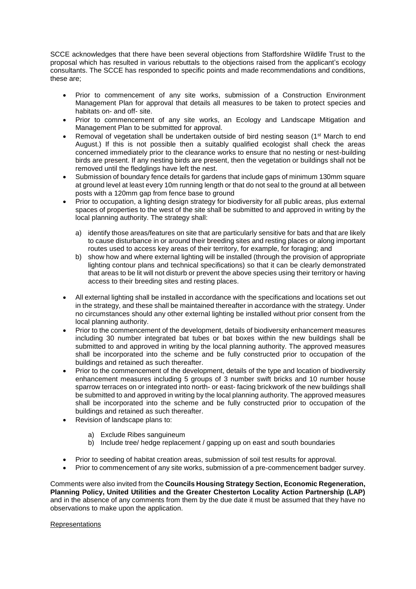SCCE acknowledges that there have been several objections from Staffordshire Wildlife Trust to the proposal which has resulted in various rebuttals to the objections raised from the applicant's ecology consultants. The SCCE has responded to specific points and made recommendations and conditions, these are;

- Prior to commencement of any site works, submission of a Construction Environment Management Plan for approval that details all measures to be taken to protect species and habitats on- and off- site.
- Prior to commencement of any site works, an Ecology and Landscape Mitigation and Management Plan to be submitted for approval.
- Removal of vegetation shall be undertaken outside of bird nesting season (1<sup>st</sup> March to end August.) If this is not possible then a suitably qualified ecologist shall check the areas concerned immediately prior to the clearance works to ensure that no nesting or nest-building birds are present. If any nesting birds are present, then the vegetation or buildings shall not be removed until the fledglings have left the nest.
- Submission of boundary fence details for gardens that include gaps of minimum 130mm square at ground level at least every 10m running length or that do not seal to the ground at all between posts with a 120mm gap from fence base to ground
- Prior to occupation, a lighting design strategy for biodiversity for all public areas, plus external spaces of properties to the west of the site shall be submitted to and approved in writing by the local planning authority. The strategy shall:
	- a) identify those areas/features on site that are particularly sensitive for bats and that are likely to cause disturbance in or around their breeding sites and resting places or along important routes used to access key areas of their territory, for example, for foraging; and
	- b) show how and where external lighting will be installed (through the provision of appropriate lighting contour plans and technical specifications) so that it can be clearly demonstrated that areas to be lit will not disturb or prevent the above species using their territory or having access to their breeding sites and resting places.
- All external lighting shall be installed in accordance with the specifications and locations set out in the strategy, and these shall be maintained thereafter in accordance with the strategy. Under no circumstances should any other external lighting be installed without prior consent from the local planning authority.
- Prior to the commencement of the development, details of biodiversity enhancement measures including 30 number integrated bat tubes or bat boxes within the new buildings shall be submitted to and approved in writing by the local planning authority. The approved measures shall be incorporated into the scheme and be fully constructed prior to occupation of the buildings and retained as such thereafter.
- Prior to the commencement of the development, details of the type and location of biodiversity enhancement measures including 5 groups of 3 number swift bricks and 10 number house sparrow terraces on or integrated into north- or east- facing brickwork of the new buildings shall be submitted to and approved in writing by the local planning authority. The approved measures shall be incorporated into the scheme and be fully constructed prior to occupation of the buildings and retained as such thereafter.
- Revision of landscape plans to:
	- a) Exclude Ribes sanguineum
	- b) Include tree/ hedge replacement / gapping up on east and south boundaries
- Prior to seeding of habitat creation areas, submission of soil test results for approval.
- Prior to commencement of any site works, submission of a pre-commencement badger survey.

Comments were also invited from the **Councils Housing Strategy Section, Economic Regeneration, Planning Policy, United Utilities and the Greater Chesterton Locality Action Partnership (LAP)**  and in the absence of any comments from them by the due date it must be assumed that they have no observations to make upon the application.

## Representations